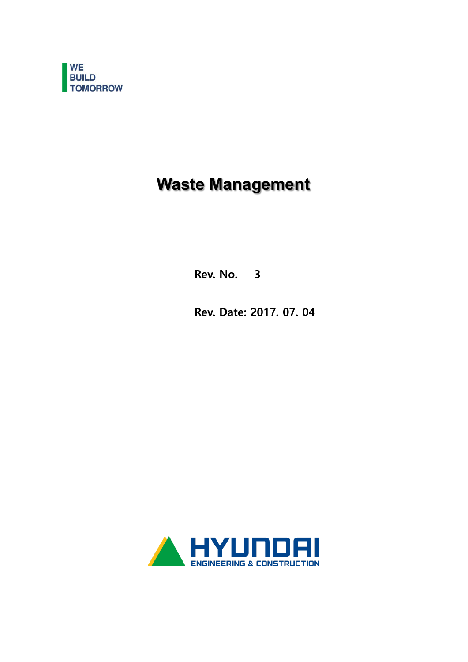

# **Waste Management**

Rev. No. 3

Rev. Date: 2017. 07. 04

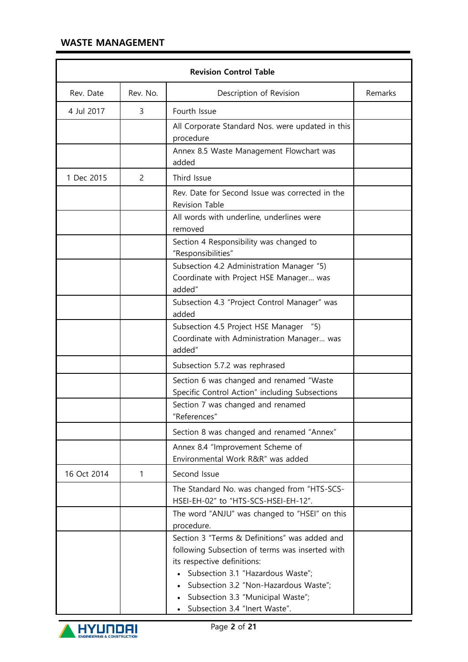|             | <b>Revision Control Table</b> |                                                                                                                                                                                                                                                                                     |         |  |  |  |  |  |
|-------------|-------------------------------|-------------------------------------------------------------------------------------------------------------------------------------------------------------------------------------------------------------------------------------------------------------------------------------|---------|--|--|--|--|--|
| Rev. Date   | Rev. No.                      | Description of Revision                                                                                                                                                                                                                                                             | Remarks |  |  |  |  |  |
| 4 Jul 2017  | 3                             | Fourth Issue                                                                                                                                                                                                                                                                        |         |  |  |  |  |  |
|             |                               | All Corporate Standard Nos. were updated in this<br>procedure                                                                                                                                                                                                                       |         |  |  |  |  |  |
|             |                               | Annex 8.5 Waste Management Flowchart was<br>added                                                                                                                                                                                                                                   |         |  |  |  |  |  |
| 1 Dec 2015  | 2                             | Third Issue                                                                                                                                                                                                                                                                         |         |  |  |  |  |  |
|             |                               | Rev. Date for Second Issue was corrected in the<br><b>Revision Table</b>                                                                                                                                                                                                            |         |  |  |  |  |  |
|             |                               | All words with underline, underlines were<br>removed                                                                                                                                                                                                                                |         |  |  |  |  |  |
|             |                               | Section 4 Responsibility was changed to<br>"Responsibilities"                                                                                                                                                                                                                       |         |  |  |  |  |  |
|             |                               | Subsection 4.2 Administration Manager "5)<br>Coordinate with Project HSE Manager was<br>added"                                                                                                                                                                                      |         |  |  |  |  |  |
|             |                               | Subsection 4.3 "Project Control Manager" was<br>added                                                                                                                                                                                                                               |         |  |  |  |  |  |
|             |                               | Subsection 4.5 Project HSE Manager "5)<br>Coordinate with Administration Manager was<br>added"                                                                                                                                                                                      |         |  |  |  |  |  |
|             |                               | Subsection 5.7.2 was rephrased                                                                                                                                                                                                                                                      |         |  |  |  |  |  |
|             |                               | Section 6 was changed and renamed "Waste<br>Specific Control Action" including Subsections                                                                                                                                                                                          |         |  |  |  |  |  |
|             |                               | Section 7 was changed and renamed<br>"References"                                                                                                                                                                                                                                   |         |  |  |  |  |  |
|             |                               | Section 8 was changed and renamed "Annex"                                                                                                                                                                                                                                           |         |  |  |  |  |  |
|             |                               | Annex 8.4 "Improvement Scheme of<br>Environmental Work R&R" was added                                                                                                                                                                                                               |         |  |  |  |  |  |
| 16 Oct 2014 | 1                             | Second Issue                                                                                                                                                                                                                                                                        |         |  |  |  |  |  |
|             |                               | The Standard No. was changed from "HTS-SCS-<br>HSEI-EH-02" to "HTS-SCS-HSEI-EH-12".                                                                                                                                                                                                 |         |  |  |  |  |  |
|             |                               | The word "ANJU" was changed to "HSEI" on this<br>procedure.                                                                                                                                                                                                                         |         |  |  |  |  |  |
|             |                               | Section 3 "Terms & Definitions" was added and<br>following Subsection of terms was inserted with<br>its respective definitions:<br>Subsection 3.1 "Hazardous Waste";<br>Subsection 3.2 "Non-Hazardous Waste";<br>Subsection 3.3 "Municipal Waste";<br>Subsection 3.4 "Inert Waste". |         |  |  |  |  |  |

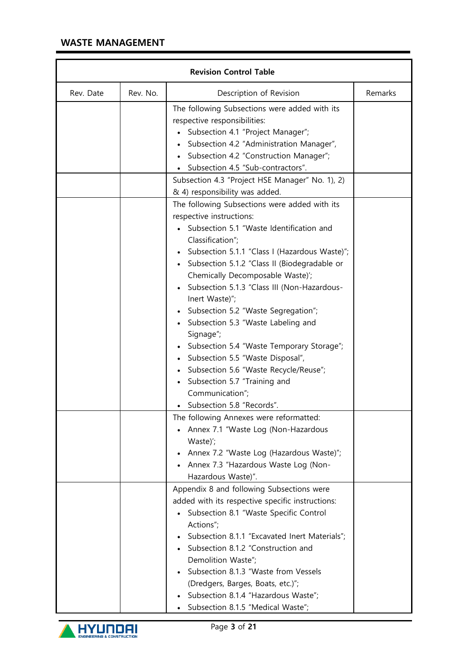| <b>Revision Control Table</b> |          |                                                                                                                                                                                                                                                                                                                                                                                                                                                                                                                                                                                                                                                       |         |  |  |  |  |
|-------------------------------|----------|-------------------------------------------------------------------------------------------------------------------------------------------------------------------------------------------------------------------------------------------------------------------------------------------------------------------------------------------------------------------------------------------------------------------------------------------------------------------------------------------------------------------------------------------------------------------------------------------------------------------------------------------------------|---------|--|--|--|--|
| Rev. Date                     | Rev. No. | Description of Revision                                                                                                                                                                                                                                                                                                                                                                                                                                                                                                                                                                                                                               | Remarks |  |  |  |  |
|                               |          | The following Subsections were added with its<br>respective responsibilities:<br>Subsection 4.1 "Project Manager";<br>Subsection 4.2 "Administration Manager",<br>Subsection 4.2 "Construction Manager";<br>Subsection 4.5 "Sub-contractors".                                                                                                                                                                                                                                                                                                                                                                                                         |         |  |  |  |  |
|                               |          | Subsection 4.3 "Project HSE Manager" No. 1), 2)<br>& 4) responsibility was added.                                                                                                                                                                                                                                                                                                                                                                                                                                                                                                                                                                     |         |  |  |  |  |
|                               |          | The following Subsections were added with its<br>respective instructions:<br>Subsection 5.1 "Waste Identification and<br>Classification";<br>Subsection 5.1.1 "Class I (Hazardous Waste)";<br>Subsection 5.1.2 "Class II (Biodegradable or<br>Chemically Decomposable Waste)';<br>Subsection 5.1.3 "Class III (Non-Hazardous-<br>Inert Waste)";<br>Subsection 5.2 "Waste Segregation";<br>Subsection 5.3 "Waste Labeling and<br>Signage";<br>Subsection 5.4 "Waste Temporary Storage";<br>Subsection 5.5 "Waste Disposal",<br>Subsection 5.6 "Waste Recycle/Reuse";<br>Subsection 5.7 "Training and<br>Communication";<br>• Subsection 5.8 "Records". |         |  |  |  |  |
|                               |          | The following Annexes were reformatted:<br>Annex 7.1 "Waste Log (Non-Hazardous<br>Waste)';<br>Annex 7.2 "Waste Log (Hazardous Waste)";<br>Annex 7.3 "Hazardous Waste Log (Non-<br>Hazardous Waste)".                                                                                                                                                                                                                                                                                                                                                                                                                                                  |         |  |  |  |  |
|                               |          | Appendix 8 and following Subsections were<br>added with its respective specific instructions:<br>Subsection 8.1 "Waste Specific Control<br>Actions";<br>Subsection 8.1.1 "Excavated Inert Materials";<br>Subsection 8.1.2 "Construction and<br>Demolition Waste";<br>Subsection 8.1.3 "Waste from Vessels<br>(Dredgers, Barges, Boats, etc.)";<br>Subsection 8.1.4 "Hazardous Waste";<br>Subsection 8.1.5 "Medical Waste";                                                                                                                                                                                                                            |         |  |  |  |  |

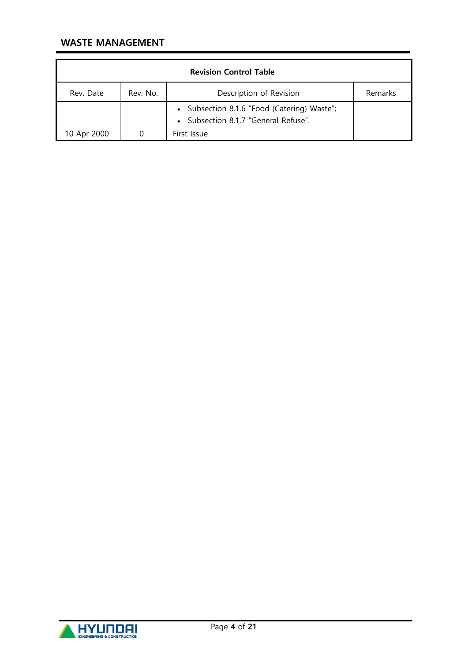| <b>Revision Control Table</b> |          |                                                                                   |         |  |  |  |
|-------------------------------|----------|-----------------------------------------------------------------------------------|---------|--|--|--|
| Rev. Date                     | Rev. No. | Description of Revision                                                           | Remarks |  |  |  |
|                               |          | • Subsection 8.1.6 "Food (Catering) Waste";<br>Subsection 8.1.7 "General Refuse". |         |  |  |  |
| 10 Apr 2000                   |          | First Issue                                                                       |         |  |  |  |

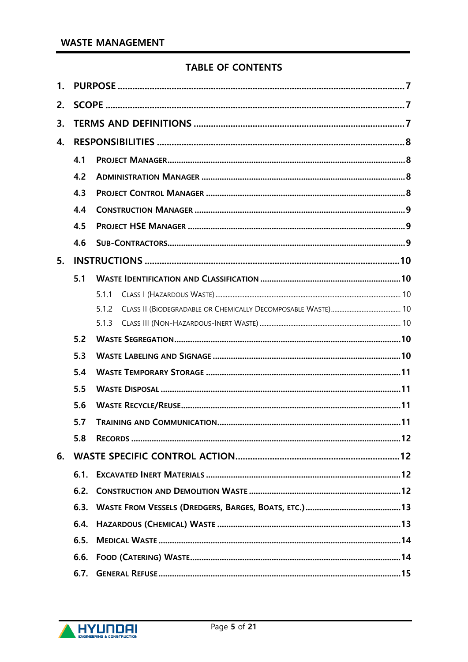# **TABLE OF CONTENTS**

| 1. |      |       |  |  |  |  |  |  |
|----|------|-------|--|--|--|--|--|--|
| 2. |      |       |  |  |  |  |  |  |
| 3. |      |       |  |  |  |  |  |  |
| 4. |      |       |  |  |  |  |  |  |
|    | 4.1  |       |  |  |  |  |  |  |
|    | 4.2  |       |  |  |  |  |  |  |
|    | 4.3  |       |  |  |  |  |  |  |
|    | 4.4  |       |  |  |  |  |  |  |
|    | 4.5  |       |  |  |  |  |  |  |
|    | 4.6  |       |  |  |  |  |  |  |
| 5. |      |       |  |  |  |  |  |  |
|    | 5.1  |       |  |  |  |  |  |  |
|    |      | 5.1.1 |  |  |  |  |  |  |
|    |      | 5.1.2 |  |  |  |  |  |  |
|    |      | 5.1.3 |  |  |  |  |  |  |
|    | 5.2  |       |  |  |  |  |  |  |
|    | 5.3  |       |  |  |  |  |  |  |
|    | 5.4  |       |  |  |  |  |  |  |
|    | 5.5  |       |  |  |  |  |  |  |
|    | 5.6  |       |  |  |  |  |  |  |
|    | 5.7  |       |  |  |  |  |  |  |
|    | 5.8  |       |  |  |  |  |  |  |
| 6. |      |       |  |  |  |  |  |  |
|    | 6.1. |       |  |  |  |  |  |  |
|    | 6.2. |       |  |  |  |  |  |  |
|    | 6.3. |       |  |  |  |  |  |  |
|    | 6.4. |       |  |  |  |  |  |  |
|    | 6.5. |       |  |  |  |  |  |  |
|    | 6.6. |       |  |  |  |  |  |  |
|    | 6.7. |       |  |  |  |  |  |  |

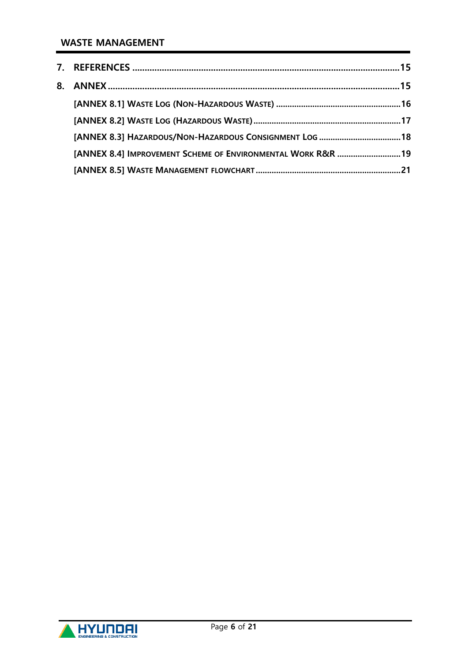| [ANNEX 8.4] IMPROVEMENT SCHEME OF ENVIRONMENTAL WORK R&R 19 |  |
|-------------------------------------------------------------|--|
|                                                             |  |

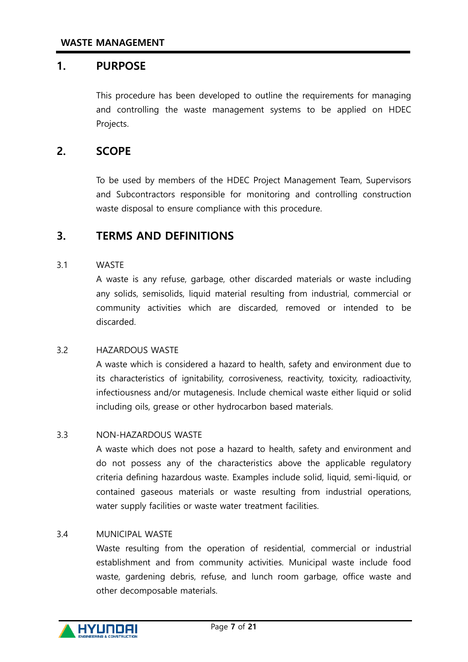## <span id="page-6-0"></span>1. PURPOSE

This procedure has been developed to outline the requirements for managing and controlling the waste management systems to be applied on HDEC Projects.

# <span id="page-6-1"></span>2. SCOPE

To be used by members of the HDEC Project Management Team, Supervisors and Subcontractors responsible for monitoring and controlling construction waste disposal to ensure compliance with this procedure.

## <span id="page-6-2"></span>3. TERMS AND DEFINITIONS

#### 3.1 WASTE

A waste is any refuse, garbage, other discarded materials or waste including any solids, semisolids, liquid material resulting from industrial, commercial or community activities which are discarded, removed or intended to be discarded.

#### 3.2 HAZARDOUS WASTE

A waste which is considered a hazard to health, safety and environment due to its characteristics of ignitability, corrosiveness, reactivity, toxicity, radioactivity, infectiousness and/or mutagenesis. Include chemical waste either liquid or solid including oils, grease or other hydrocarbon based materials.

#### 3.3 NON-HAZARDOUS WASTE

A waste which does not pose a hazard to health, safety and environment and do not possess any of the characteristics above the applicable regulatory criteria defining hazardous waste. Examples include solid, liquid, semi-liquid, or contained gaseous materials or waste resulting from industrial operations, water supply facilities or waste water treatment facilities.

#### 3.4 MUNICIPAL WASTE

Waste resulting from the operation of residential, commercial or industrial establishment and from community activities. Municipal waste include food waste, gardening debris, refuse, and lunch room garbage, office waste and other decomposable materials.

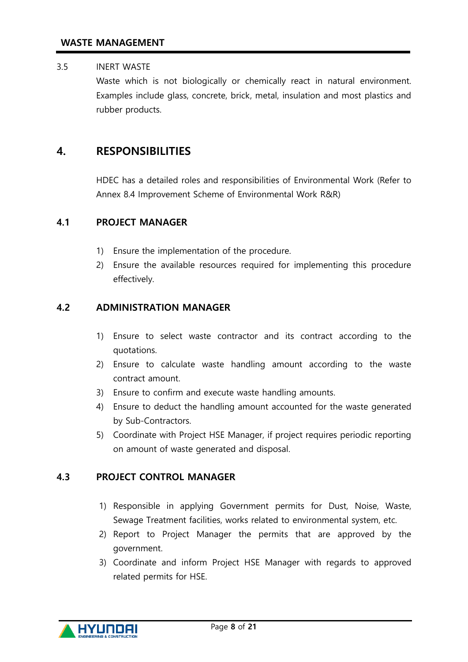## 3.5 INERT WASTE

Waste which is not biologically or chemically react in natural environment. Examples include glass, concrete, brick, metal, insulation and most plastics and rubber products.

# <span id="page-7-0"></span>4. RESPONSIBILITIES

HDEC has a detailed roles and responsibilities of Environmental Work (Refer to Annex 8.4 Improvement Scheme of Environmental Work R&R)

## <span id="page-7-1"></span>4.1 PROJECT MANAGER

- 1) Ensure the implementation of the procedure.
- 2) Ensure the available resources required for implementing this procedure effectively.

#### <span id="page-7-2"></span>4.2 ADMINISTRATION MANAGER

- 1) Ensure to select waste contractor and its contract according to the quotations.
- 2) Ensure to calculate waste handling amount according to the waste contract amount.
- 3) Ensure to confirm and execute waste handling amounts.
- 4) Ensure to deduct the handling amount accounted for the waste generated by Sub-Contractors.
- 5) Coordinate with Project HSE Manager, if project requires periodic reporting on amount of waste generated and disposal.

#### <span id="page-7-3"></span>4.3 PROJECT CONTROL MANAGER

- 1) Responsible in applying Government permits for Dust, Noise, Waste, Sewage Treatment facilities, works related to environmental system, etc.
- 2) Report to Project Manager the permits that are approved by the government.
- 3) Coordinate and inform Project HSE Manager with regards to approved related permits for HSE.

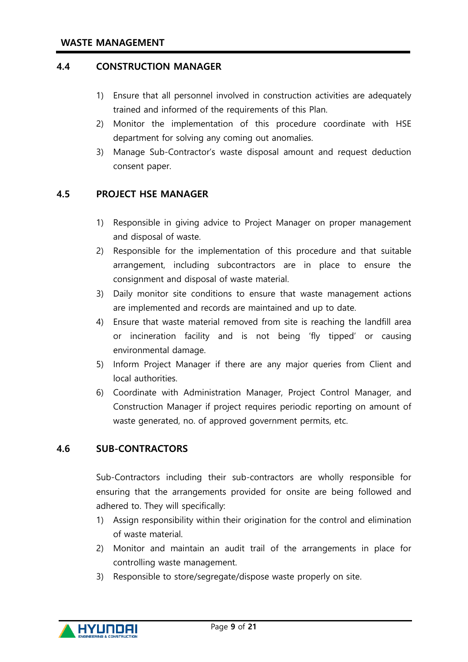#### <span id="page-8-0"></span>4.4 CONSTRUCTION MANAGER

- 1) Ensure that all personnel involved in construction activities are adequately trained and informed of the requirements of this Plan.
- 2) Monitor the implementation of this procedure coordinate with HSE department for solving any coming out anomalies.
- 3) Manage Sub-Contractor's waste disposal amount and request deduction consent paper.

#### <span id="page-8-1"></span>4.5 PROJECT HSE MANAGER

- 1) Responsible in giving advice to Project Manager on proper management and disposal of waste.
- 2) Responsible for the implementation of this procedure and that suitable arrangement, including subcontractors are in place to ensure the consignment and disposal of waste material.
- 3) Daily monitor site conditions to ensure that waste management actions are implemented and records are maintained and up to date.
- 4) Ensure that waste material removed from site is reaching the landfill area or incineration facility and is not being 'fly tipped' or causing environmental damage.
- 5) Inform Project Manager if there are any major queries from Client and local authorities.
- 6) Coordinate with Administration Manager, Project Control Manager, and Construction Manager if project requires periodic reporting on amount of waste generated, no. of approved government permits, etc.

#### <span id="page-8-2"></span>4.6 SUB-CONTRACTORS

Sub-Contractors including their sub-contractors are wholly responsible for ensuring that the arrangements provided for onsite are being followed and adhered to. They will specifically:

- 1) Assign responsibility within their origination for the control and elimination of waste material.
- 2) Monitor and maintain an audit trail of the arrangements in place for controlling waste management.
- 3) Responsible to store/segregate/dispose waste properly on site.

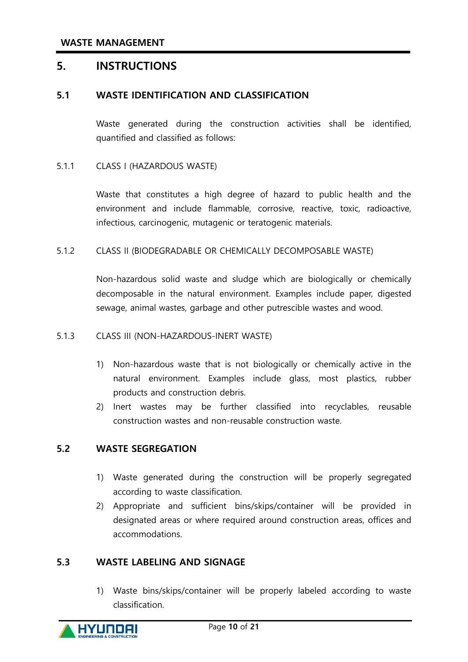## <span id="page-9-0"></span>5. INSTRUCTIONS

#### <span id="page-9-1"></span>5.1 WASTE IDENTIFICATION AND CLASSIFICATION

Waste generated during the construction activities shall be identified, quantified and classified as follows:

#### <span id="page-9-2"></span>5.1.1 CLASS I (HAZARDOUS WASTE)

Waste that constitutes a high degree of hazard to public health and the environment and include flammable, corrosive, reactive, toxic, radioactive, infectious, carcinogenic, mutagenic or teratogenic materials.

#### <span id="page-9-3"></span>5.1.2 CLASS II (BIODEGRADABLE OR CHEMICALLY DECOMPOSABLE WASTE)

Non-hazardous solid waste and sludge which are biologically or chemically decomposable in the natural environment. Examples include paper, digested sewage, animal wastes, garbage and other putrescible wastes and wood.

#### <span id="page-9-4"></span>5.1.3 CLASS III (NON-HAZARDOUS-INERT WASTE)

- 1) Non-hazardous waste that is not biologically or chemically active in the natural environment. Examples include glass, most plastics, rubber products and construction debris.
- 2) Inert wastes may be further classified into recyclables, reusable construction wastes and non-reusable construction waste.

#### <span id="page-9-5"></span>5.2 WASTE SEGREGATION

- 1) Waste generated during the construction will be properly segregated according to waste classification.
- 2) Appropriate and sufficient bins/skips/container will be provided in designated areas or where required around construction areas, offices and accommodations.

#### <span id="page-9-6"></span>5.3 WASTE LABELING AND SIGNAGE

1) Waste bins/skips/container will be properly labeled according to waste classification.

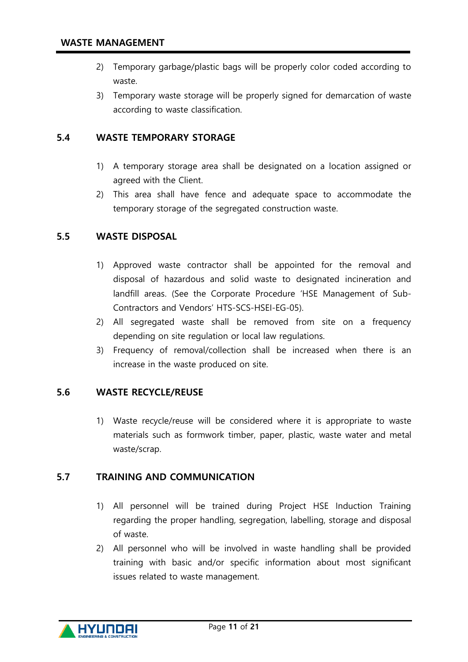- 2) Temporary garbage/plastic bags will be properly color coded according to waste.
- 3) Temporary waste storage will be properly signed for demarcation of waste according to waste classification.

## <span id="page-10-0"></span>5.4 WASTE TEMPORARY STORAGE

- 1) A temporary storage area shall be designated on a location assigned or agreed with the Client.
- 2) This area shall have fence and adequate space to accommodate the temporary storage of the segregated construction waste.

## <span id="page-10-1"></span>5.5 WASTE DISPOSAL

- 1) Approved waste contractor shall be appointed for the removal and disposal of hazardous and solid waste to designated incineration and landfill areas. (See the Corporate Procedure 'HSE Management of Sub-Contractors and Vendors' HTS-SCS-HSEI-EG-05).
- 2) All segregated waste shall be removed from site on a frequency depending on site regulation or local law regulations.
- 3) Frequency of removal/collection shall be increased when there is an increase in the waste produced on site.

## <span id="page-10-2"></span>5.6 WASTE RECYCLE/REUSE

1) Waste recycle/reuse will be considered where it is appropriate to waste materials such as formwork timber, paper, plastic, waste water and metal waste/scrap.

#### <span id="page-10-3"></span>5.7 TRAINING AND COMMUNICATION

- 1) All personnel will be trained during Project HSE Induction Training regarding the proper handling, segregation, labelling, storage and disposal of waste.
- 2) All personnel who will be involved in waste handling shall be provided training with basic and/or specific information about most significant issues related to waste management.

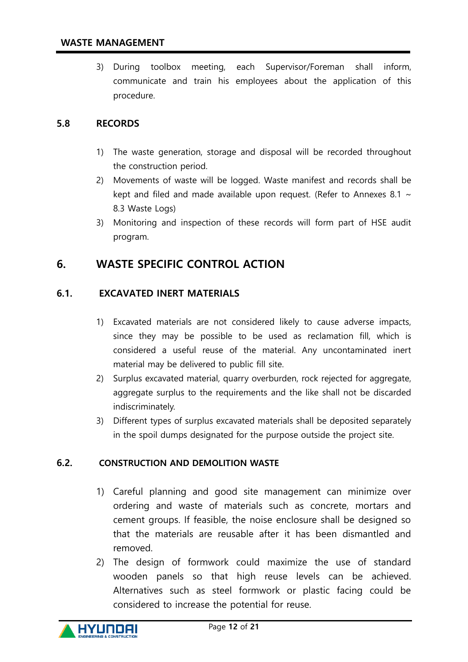3) During toolbox meeting, each Supervisor/Foreman shall inform, communicate and train his employees about the application of this procedure.

## <span id="page-11-0"></span>5.8 RECORDS

- 1) The waste generation, storage and disposal will be recorded throughout the construction period.
- 2) Movements of waste will be logged. Waste manifest and records shall be kept and filed and made available upon request. (Refer to Annexes 8.1  $\sim$ 8.3 Waste Logs)
- 3) Monitoring and inspection of these records will form part of HSE audit program.

# <span id="page-11-1"></span>6. WASTE SPECIFIC CONTROL ACTION

## <span id="page-11-2"></span>6.1. EXCAVATED INERT MATERIALS

- 1) Excavated materials are not considered likely to cause adverse impacts, since they may be possible to be used as reclamation fill, which is considered a useful reuse of the material. Any uncontaminated inert material may be delivered to public fill site.
- 2) Surplus excavated material, quarry overburden, rock rejected for aggregate, aggregate surplus to the requirements and the like shall not be discarded indiscriminately.
- 3) Different types of surplus excavated materials shall be deposited separately in the spoil dumps designated for the purpose outside the project site.

## <span id="page-11-3"></span>6.2. CONSTRUCTION AND DEMOLITION WASTE

- 1) Careful planning and good site management can minimize over ordering and waste of materials such as concrete, mortars and cement groups. If feasible, the noise enclosure shall be designed so that the materials are reusable after it has been dismantled and removed.
- 2) The design of formwork could maximize the use of standard wooden panels so that high reuse levels can be achieved. Alternatives such as steel formwork or plastic facing could be considered to increase the potential for reuse.

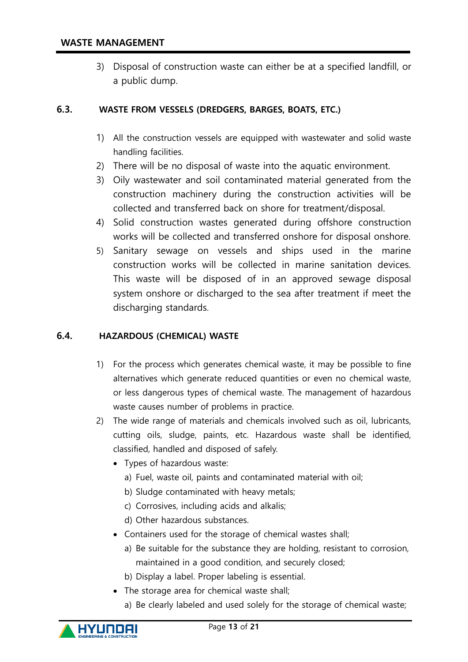3) Disposal of construction waste can either be at a specified landfill, or a public dump.

#### <span id="page-12-0"></span>6.3. WASTE FROM VESSELS (DREDGERS, BARGES, BOATS, ETC.)

- 1) All the construction vessels are equipped with wastewater and solid waste handling facilities.
- 2) There will be no disposal of waste into the aquatic environment.
- 3) Oily wastewater and soil contaminated material generated from the construction machinery during the construction activities will be collected and transferred back on shore for treatment/disposal.
- 4) Solid construction wastes generated during offshore construction works will be collected and transferred onshore for disposal onshore.
- 5) Sanitary sewage on vessels and ships used in the marine construction works will be collected in marine sanitation devices. This waste will be disposed of in an approved sewage disposal system onshore or discharged to the sea after treatment if meet the discharging standards.

#### <span id="page-12-1"></span>6.4. HAZARDOUS (CHEMICAL) WASTE

- 1) For the process which generates chemical waste, it may be possible to fine alternatives which generate reduced quantities or even no chemical waste, or less dangerous types of chemical waste. The management of hazardous waste causes number of problems in practice.
- 2) The wide range of materials and chemicals involved such as oil, lubricants, cutting oils, sludge, paints, etc. Hazardous waste shall be identified, classified, handled and disposed of safely.
	- Types of hazardous waste:
		- a) Fuel, waste oil, paints and contaminated material with oil;
		- b) Sludge contaminated with heavy metals;
		- c) Corrosives, including acids and alkalis;
		- d) Other hazardous substances.
	- Containers used for the storage of chemical wastes shall;
		- a) Be suitable for the substance they are holding, resistant to corrosion, maintained in a good condition, and securely closed;
		- b) Display a label. Proper labeling is essential.
	- The storage area for chemical waste shall;
		- a) Be clearly labeled and used solely for the storage of chemical waste;

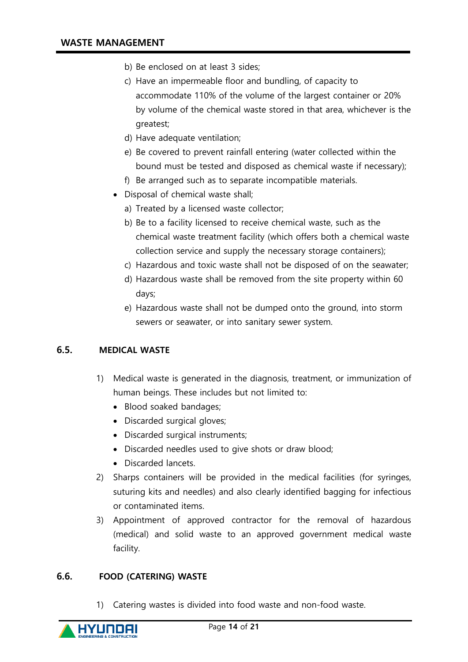- b) Be enclosed on at least 3 sides;
- c) Have an impermeable floor and bundling, of capacity to accommodate 110% of the volume of the largest container or 20% by volume of the chemical waste stored in that area, whichever is the greatest;
- d) Have adequate ventilation;
- e) Be covered to prevent rainfall entering (water collected within the bound must be tested and disposed as chemical waste if necessary);
- f) Be arranged such as to separate incompatible materials.
- Disposal of chemical waste shall;
	- a) Treated by a licensed waste collector;
	- b) Be to a facility licensed to receive chemical waste, such as the chemical waste treatment facility (which offers both a chemical waste collection service and supply the necessary storage containers);
	- c) Hazardous and toxic waste shall not be disposed of on the seawater;
	- d) Hazardous waste shall be removed from the site property within 60 days;
	- e) Hazardous waste shall not be dumped onto the ground, into storm sewers or seawater, or into sanitary sewer system.

## <span id="page-13-0"></span>6.5. MEDICAL WASTE

- 1) Medical waste is generated in the diagnosis, treatment, or immunization of human beings. These includes but not limited to:
	- Blood soaked bandages;
	- Discarded surgical gloves;
	- Discarded surgical instruments;
	- Discarded needles used to give shots or draw blood;
	- Discarded lancets.
- 2) Sharps containers will be provided in the medical facilities (for syringes, suturing kits and needles) and also clearly identified bagging for infectious or contaminated items.
- 3) Appointment of approved contractor for the removal of hazardous (medical) and solid waste to an approved government medical waste facility.

#### <span id="page-13-1"></span>6.6. FOOD (CATERING) WASTE

1) Catering wastes is divided into food waste and non-food waste.

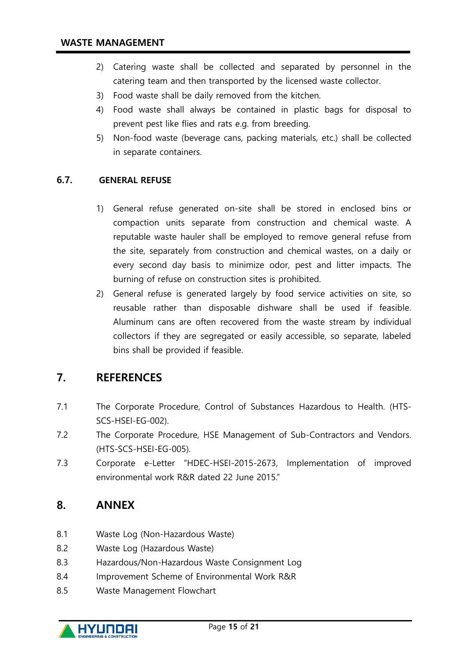- 2) Catering waste shall be collected and separated by personnel in the catering team and then transported by the licensed waste collector.
- 3) Food waste shall be daily removed from the kitchen.
- 4) Food waste shall always be contained in plastic bags for disposal to prevent pest like flies and rats e.g. from breeding.
- 5) Non-food waste (beverage cans, packing materials, etc.) shall be collected in separate containers.

## <span id="page-14-0"></span>6.7. GENERAL REFUSE

- 1) General refuse generated on-site shall be stored in enclosed bins or compaction units separate from construction and chemical waste. A reputable waste hauler shall be employed to remove general refuse from the site, separately from construction and chemical wastes, on a daily or every second day basis to minimize odor, pest and litter impacts. The burning of refuse on construction sites is prohibited.
- 2) General refuse is generated largely by food service activities on site, so reusable rather than disposable dishware shall be used if feasible. Aluminum cans are often recovered from the waste stream by individual collectors if they are segregated or easily accessible, so separate, labeled bins shall be provided if feasible.

## <span id="page-14-1"></span>7. REFERENCES

- 7.1 The Corporate Procedure, Control of Substances Hazardous to Health. (HTS-SCS-HSEI-EG-002).
- 7.2 The Corporate Procedure, HSE Management of Sub-Contractors and Vendors. (HTS-SCS-HSEI-EG-005).
- 7.3 Corporate e-Letter "HDEC-HSEI-2015-2673, Implementation of improved environmental work R&R dated 22 June 2015."

## <span id="page-14-2"></span>8. ANNEX

- 8.1 Waste Log (Non-Hazardous Waste)
- 8.2 Waste Log (Hazardous Waste)
- 8.3 Hazardous/Non-Hazardous Waste Consignment Log
- 8.4 Improvement Scheme of Environmental Work R&R
- 8.5 Waste Management Flowchart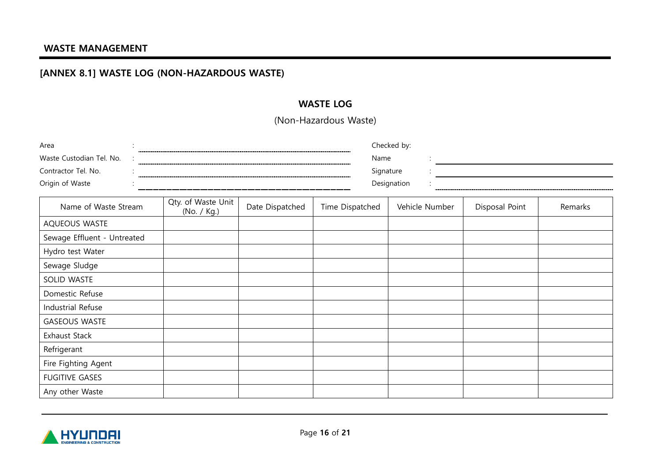# [ANNEX 8.1] WASTE LOG (NON-HAZARDOUS WASTE)

## WASTE LOG

(Non-Hazardous Waste)

<span id="page-15-0"></span>

| Area                           |                                   | Checked by:     |                 |                |                |         |  |  |
|--------------------------------|-----------------------------------|-----------------|-----------------|----------------|----------------|---------|--|--|
| Waste Custodian Tel. No.       |                                   |                 |                 | Name           |                |         |  |  |
| Contractor Tel. No.            |                                   |                 | Signature       |                |                |         |  |  |
| Origin of Waste<br>Designation |                                   |                 |                 |                |                |         |  |  |
| Name of Waste Stream           | Qty. of Waste Unit<br>(No. / Kg.) | Date Dispatched | Time Dispatched | Vehicle Number | Disposal Point | Remarks |  |  |
| AQUEOUS WASTE                  |                                   |                 |                 |                |                |         |  |  |
| Sewage Effluent - Untreated    |                                   |                 |                 |                |                |         |  |  |
| Hydro test Water               |                                   |                 |                 |                |                |         |  |  |
| Sewage Sludge                  |                                   |                 |                 |                |                |         |  |  |
| SOLID WASTE                    |                                   |                 |                 |                |                |         |  |  |
| Domestic Refuse                |                                   |                 |                 |                |                |         |  |  |
| Industrial Refuse              |                                   |                 |                 |                |                |         |  |  |
| <b>GASEOUS WASTE</b>           |                                   |                 |                 |                |                |         |  |  |
| Exhaust Stack                  |                                   |                 |                 |                |                |         |  |  |
| Refrigerant                    |                                   |                 |                 |                |                |         |  |  |
| Fire Fighting Agent            |                                   |                 |                 |                |                |         |  |  |
| <b>FUGITIVE GASES</b>          |                                   |                 |                 |                |                |         |  |  |
| Any other Waste                |                                   |                 |                 |                |                |         |  |  |

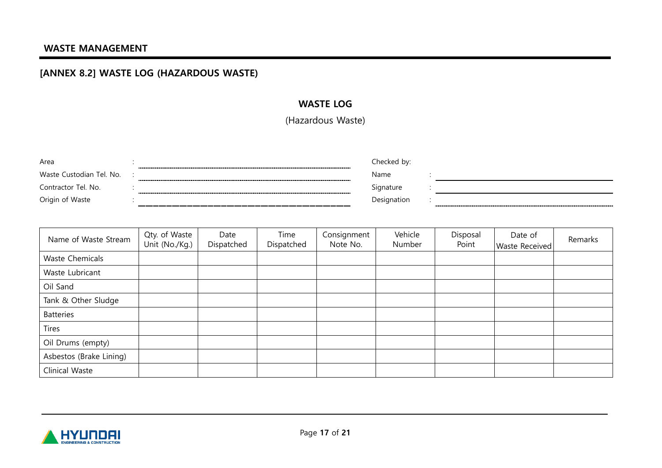# [ANNEX 8.2] WASTE LOG (HAZARDOUS WASTE)

## WASTE LOG

(Hazardous Waste)

| Area                     | ------------------- | Checked bv: |  |
|--------------------------|---------------------|-------------|--|
| Waste Custodian Tel. No. |                     | Name        |  |
| Contractor Tel. No.      | ------------------- | Signature   |  |
| Origin of Waste          |                     | Designation |  |

<span id="page-16-0"></span>

| Name of Waste Stream    | Qty. of Waste<br>Unit (No./Kg.) | Date<br>Dispatched | Time<br>Dispatched | Consignment<br>Note No. | Vehicle<br>Number | Disposal<br>Point | Date of<br><b>Waste Received</b> | Remarks |
|-------------------------|---------------------------------|--------------------|--------------------|-------------------------|-------------------|-------------------|----------------------------------|---------|
| Waste Chemicals         |                                 |                    |                    |                         |                   |                   |                                  |         |
| Waste Lubricant         |                                 |                    |                    |                         |                   |                   |                                  |         |
| Oil Sand                |                                 |                    |                    |                         |                   |                   |                                  |         |
| Tank & Other Sludge     |                                 |                    |                    |                         |                   |                   |                                  |         |
| <b>Batteries</b>        |                                 |                    |                    |                         |                   |                   |                                  |         |
| <b>Tires</b>            |                                 |                    |                    |                         |                   |                   |                                  |         |
| Oil Drums (empty)       |                                 |                    |                    |                         |                   |                   |                                  |         |
| Asbestos (Brake Lining) |                                 |                    |                    |                         |                   |                   |                                  |         |
| Clinical Waste          |                                 |                    |                    |                         |                   |                   |                                  |         |

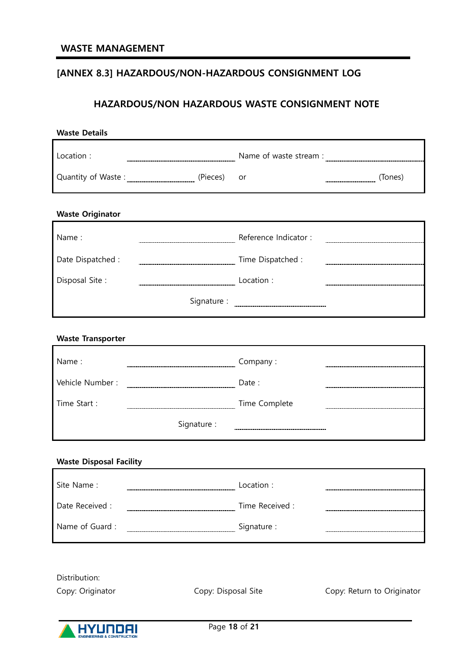# <span id="page-17-0"></span>[ANNEX 8.3] HAZARDOUS/NON-HAZARDOUS CONSIGNMENT LOG

## HAZARDOUS/NON HAZARDOUS WASTE CONSIGNMENT NOTE

| <b>Waste Details</b>           |                     |               |                            |  |  |  |
|--------------------------------|---------------------|---------------|----------------------------|--|--|--|
| Location:                      |                     |               |                            |  |  |  |
|                                |                     | or            |                            |  |  |  |
| <b>Waste Originator</b>        |                     |               |                            |  |  |  |
| Name:                          |                     |               |                            |  |  |  |
| Date Dispatched :              |                     |               |                            |  |  |  |
| Disposal Site:                 |                     |               |                            |  |  |  |
|                                |                     |               |                            |  |  |  |
| <b>Waste Transporter</b>       |                     |               |                            |  |  |  |
| Name:                          |                     |               |                            |  |  |  |
|                                |                     |               |                            |  |  |  |
| Time Start:                    |                     |               |                            |  |  |  |
|                                | Signature:          |               |                            |  |  |  |
| <b>Waste Disposal Facility</b> |                     |               |                            |  |  |  |
| Site Name:                     |                     | Location:     |                            |  |  |  |
| Date Received :                |                     |               |                            |  |  |  |
| Name of Guard:                 |                     |               |                            |  |  |  |
|                                |                     |               |                            |  |  |  |
| Distribution:                  |                     |               |                            |  |  |  |
| Copy: Originator               | Copy: Disposal Site |               | Copy: Return to Originator |  |  |  |
|                                |                     | Page 18 of 21 |                            |  |  |  |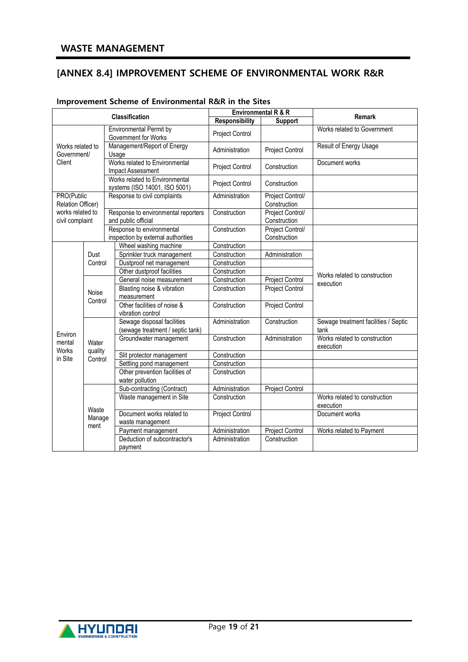## <span id="page-18-0"></span>[ANNEX 8.4] IMPROVEMENT SCHEME OF ENVIRONMENTAL WORK R&R

| Classification                      |                    |                                                                 | Environmental R & R   | <b>Remark</b>                    |                                              |
|-------------------------------------|--------------------|-----------------------------------------------------------------|-----------------------|----------------------------------|----------------------------------------------|
|                                     |                    |                                                                 | <b>Responsibility</b> | <b>Support</b>                   |                                              |
| Works related to<br>Government/     |                    | <b>Environmental Permit by</b><br>Government for Works          | Project Control       |                                  | Works related to Government                  |
|                                     |                    | Management/Report of Energy<br>Usage                            | Administration        | Project Control                  | Result of Energy Usage                       |
| Client                              |                    | Works related to Environmental<br>Impact Assessment             | Project Control       | Construction                     | Document works                               |
|                                     |                    | Works related to Environmental<br>systems (ISO 14001, ISO 5001) | Project Control       | Construction                     |                                              |
| PRO(Public<br>Relation Officer)     |                    | Response to civil complaints                                    | Administration        | Project Control/<br>Construction |                                              |
| works related to<br>civil complaint |                    | Response to environmental reporters<br>and public official      | Construction          | Project Control/<br>Construction |                                              |
|                                     |                    | Response to environmental<br>inspection by external authorities | Construction          | Project Control/<br>Construction |                                              |
|                                     |                    | Wheel washing machine                                           | Construction          |                                  |                                              |
|                                     | Dust               | Sprinkler truck management                                      | Construction          | Administration                   |                                              |
|                                     | Control            | Dustproof net management                                        | Construction          |                                  |                                              |
|                                     |                    | Other dustproof facilities                                      | Construction          |                                  | Works related to construction                |
|                                     |                    | General noise measurement                                       | Construction          | <b>Project Control</b>           | execution                                    |
|                                     | Noise              | Blasting noise & vibration<br>measurement                       | Construction          | Project Control                  |                                              |
|                                     | Control            | Other facilities of noise &<br>vibration control                | Construction          | <b>Project Control</b>           |                                              |
| Environ                             |                    | Sewage disposal facilities<br>(sewage treatment / septic tank)  | Administration        | Construction                     | Sewage treatment facilities / Septic<br>tank |
| mental<br><b>Works</b>              | Water              | Groundwater management                                          | Construction          | Administration                   | Works related to construction<br>execution   |
| in Site                             | quality<br>Control | Slit protector management                                       | Construction          |                                  |                                              |
|                                     |                    | Settling pond management                                        | Construction          |                                  |                                              |
|                                     |                    | Other prevention facilities of<br>water pollution               | Construction          |                                  |                                              |
|                                     |                    | Sub-contracting (Contract)                                      | Administration        | <b>Project Control</b>           |                                              |
|                                     | Waste              | Waste management in Site                                        | Construction          |                                  | Works related to construction<br>execution   |
|                                     | Manage             | Document works related to<br>waste management                   | Project Control       |                                  | Document works                               |
|                                     | ment               | Payment management                                              | Administration        | Project Control                  | Works related to Payment                     |
|                                     |                    | Deduction of subcontractor's<br>payment                         | Administration        | Construction                     |                                              |

#### Improvement Scheme of Environmental R&R in the Sites

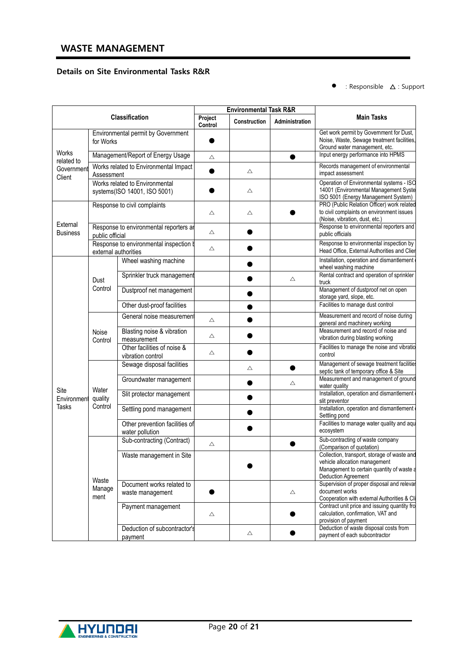#### Details on Site Environmental Tasks R&R

 $\bullet$  : Responsible  $\Delta$  : Support

|                      |                             | <b>Environmental Task R&amp;R</b>                              |                    |              |                |                                                                                                                                                         |
|----------------------|-----------------------------|----------------------------------------------------------------|--------------------|--------------|----------------|---------------------------------------------------------------------------------------------------------------------------------------------------------|
|                      |                             | Classification                                                 | Project<br>Control | Construction | Administration | <b>Main Tasks</b>                                                                                                                                       |
|                      | for Works                   | Environmental permit by Government                             |                    |              |                | Get work permit by Government for Dust,<br>Noise, Waste, Sewage treatment facilities,<br>Ground water management, etc.                                  |
| Works<br>related to  |                             | Management/Report of Energy Usage                              | Δ                  |              |                | Input energy performance into HPMS                                                                                                                      |
| Government<br>Client | Assessment                  | Works related to Environmental Impact                          |                    | Δ            |                | Records management of environmental<br>impact assessment                                                                                                |
|                      |                             | Works related to Environmental<br>systems(ISO 14001, ISO 5001) |                    | Δ            |                | Operation of Environmental systems - ISO<br>14001 (Environmental Management Syste<br>ISO 5001 (Energy Management System)                                |
| External             |                             | Response to civil complaints                                   | Δ                  | Δ            |                | PRO (Public Relation Officer) work related<br>to civil complaints on environment issues<br>(Noise, vibration, dust, etc.)                               |
| <b>Business</b>      | public official             | Response to environmental reporters ar                         | Δ                  |              |                | Response to environmental reporters and<br>public officials                                                                                             |
|                      |                             | Response to environmental inspection b<br>external authorities | Δ                  |              |                | Response to environmental inspection by<br>Head Office, External Authorities and Clier                                                                  |
|                      |                             | Wheel washing machine                                          |                    |              |                | Installation, operation and dismantlement<br>wheel washing machine                                                                                      |
|                      | Dust<br>Control             | Sprinkler truck management                                     |                    |              | Δ              | Rental contract and operation of sprinkler<br>truck                                                                                                     |
|                      |                             | Dustproof net management                                       |                    |              |                | Management of dustproof net on open<br>storage yard, slope, etc.                                                                                        |
|                      |                             | Other dust-proof facilities                                    |                    |              |                | Facilities to manage dust control                                                                                                                       |
|                      | Noise<br>Control            | General noise measurement                                      | Δ                  |              |                | Measurement and record of noise during<br>general and machinery working                                                                                 |
|                      |                             | Blasting noise & vibration<br>measurement                      | Δ                  |              |                | Measurement and record of noise and<br>vibration during blasting working                                                                                |
|                      |                             | Other facilities of noise &<br>vibration control               | Δ                  |              |                | Facilities to manage the noise and vibratio<br>control                                                                                                  |
|                      |                             | Sewage disposal facilities                                     |                    | Δ            |                | Management of sewage treatment facilities<br>septic tank of temporary office & Site                                                                     |
| Site                 | Water<br>quality<br>Control | Groundwater management                                         |                    |              | Δ              | Measurement and management of ground<br>water quality                                                                                                   |
| Environment          |                             | Slit protector management                                      |                    |              |                | Installation, operation and dismantlement<br>slit preventor                                                                                             |
| <b>Tasks</b>         |                             | Settling pond management                                       |                    |              |                | Installation, operation and dismantlement<br>Settling pond                                                                                              |
|                      |                             | Other prevention facilities of<br>water pollution              |                    |              |                | Facilities to manage water quality and aqu<br>ecosystem                                                                                                 |
|                      |                             | Sub-contracting (Contract)                                     | Δ                  |              |                | Sub-contracting of waste company<br>(Comparison of quotation)                                                                                           |
|                      |                             | Waste management in Site                                       |                    |              |                | Collection, transport, storage of waste and<br>vehicle allocation management<br>Management to certain quantity of waste a<br><b>Deduction Agreement</b> |
|                      | Waste<br>Manage<br>ment     | Document works related to<br>waste management                  |                    |              | $\triangle$    | Supervision of proper disposal and relevar<br>document works<br>Cooperation with external Authorities & Cli                                             |
|                      |                             | Payment management                                             | Δ                  |              |                | Contract unit price and issuing quantity fro<br>calculation, confirmation, VAT and<br>provision of payment                                              |
|                      |                             | Deduction of subcontractor's<br>payment                        |                    | Δ            |                | Deduction of waste disposal costs from<br>payment of each subcontractor                                                                                 |